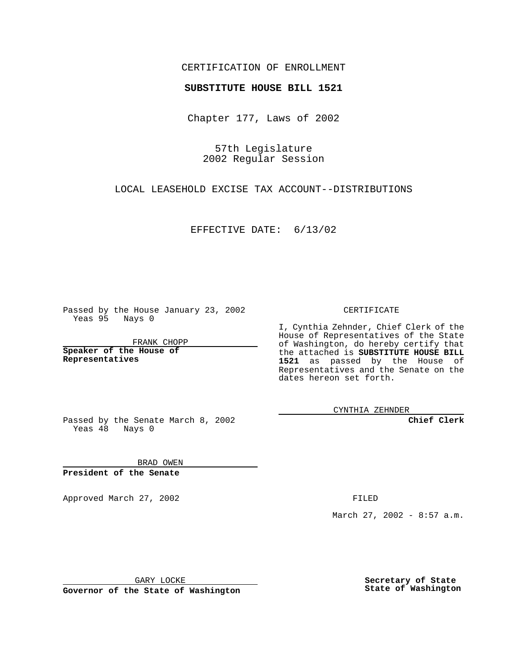## CERTIFICATION OF ENROLLMENT

## **SUBSTITUTE HOUSE BILL 1521**

Chapter 177, Laws of 2002

57th Legislature 2002 Regular Session

LOCAL LEASEHOLD EXCISE TAX ACCOUNT--DISTRIBUTIONS

EFFECTIVE DATE: 6/13/02

Passed by the House January 23, 2002 Yeas 95 Nays 0

FRANK CHOPP

**Speaker of the House of Representatives**

CERTIFICATE

I, Cynthia Zehnder, Chief Clerk of the House of Representatives of the State of Washington, do hereby certify that the attached is **SUBSTITUTE HOUSE BILL 1521** as passed by the House of Representatives and the Senate on the dates hereon set forth.

CYNTHIA ZEHNDER

**Chief Clerk**

Passed by the Senate March 8, 2002 Yeas  $48$  Nays 0

BRAD OWEN **President of the Senate**

Approved March 27, 2002 **FILED** 

March 27, 2002 - 8:57 a.m.

GARY LOCKE

**Governor of the State of Washington**

**Secretary of State State of Washington**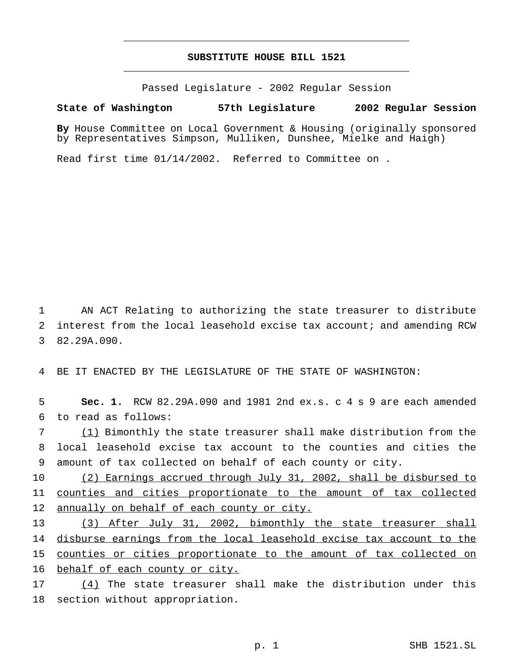## **SUBSTITUTE HOUSE BILL 1521** \_\_\_\_\_\_\_\_\_\_\_\_\_\_\_\_\_\_\_\_\_\_\_\_\_\_\_\_\_\_\_\_\_\_\_\_\_\_\_\_\_\_\_\_\_\_\_

\_\_\_\_\_\_\_\_\_\_\_\_\_\_\_\_\_\_\_\_\_\_\_\_\_\_\_\_\_\_\_\_\_\_\_\_\_\_\_\_\_\_\_\_\_\_\_

Passed Legislature - 2002 Regular Session

## **State of Washington 57th Legislature 2002 Regular Session**

**By** House Committee on Local Government & Housing (originally sponsored by Representatives Simpson, Mulliken, Dunshee, Mielke and Haigh)

Read first time 01/14/2002. Referred to Committee on .

 AN ACT Relating to authorizing the state treasurer to distribute interest from the local leasehold excise tax account; and amending RCW 82.29A.090.

BE IT ENACTED BY THE LEGISLATURE OF THE STATE OF WASHINGTON:

 **Sec. 1.** RCW 82.29A.090 and 1981 2nd ex.s. c 4 s 9 are each amended to read as follows:

 (1) Bimonthly the state treasurer shall make distribution from the local leasehold excise tax account to the counties and cities the amount of tax collected on behalf of each county or city.

 (2) Earnings accrued through July 31, 2002, shall be disbursed to counties and cities proportionate to the amount of tax collected annually on behalf of each county or city.

 (3) After July 31, 2002, bimonthly the state treasurer shall disburse earnings from the local leasehold excise tax account to the counties or cities proportionate to the amount of tax collected on behalf of each county or city.

 (4) The state treasurer shall make the distribution under this section without appropriation.